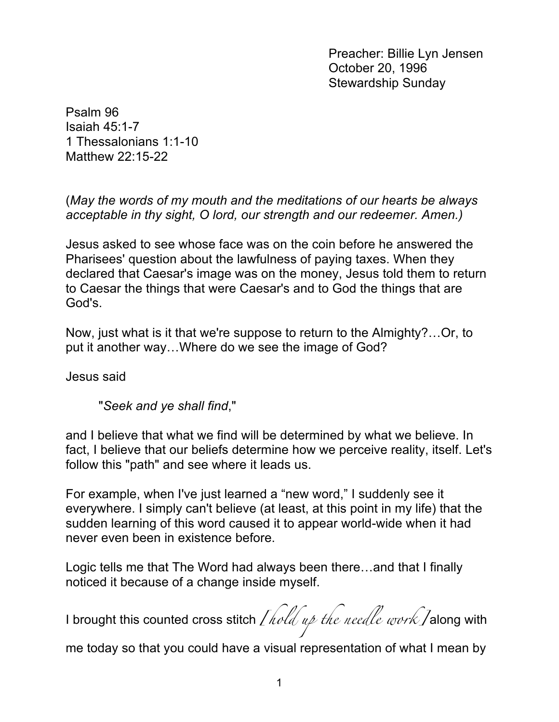Preacher: Billie Lyn Jensen October 20, 1996 Stewardship Sunday

Psalm 96 Isaiah 45:1-7 1 Thessalonians 1:1-10 Matthew 22:15-22

(*May the words of my mouth and the meditations of our hearts be always acceptable in thy sight, O lord, our strength and our redeemer. Amen.)*

Jesus asked to see whose face was on the coin before he answered the Pharisees' question about the lawfulness of paying taxes. When they declared that Caesar's image was on the money, Jesus told them to return to Caesar the things that were Caesar's and to God the things that are God's.

Now, just what is it that we're suppose to return to the Almighty?…Or, to put it another way…Where do we see the image of God?

Jesus said

"*Seek and ye shall find*,"

and I believe that what we find will be determined by what we believe. In fact, I believe that our beliefs determine how we perceive reality, itself. Let's follow this "path" and see where it leads us.

For example, when I've just learned a "new word," I suddenly see it everywhere. I simply can't believe (at least, at this point in my life) that the sudden learning of this word caused it to appear world-wide when it had never even been in existence before.

Logic tells me that The Word had always been there…and that I finally noticed it because of a change inside myself.

I brought this counted cross stitch *[hold up the needle work]* along with

me today so that you could have a visual representation of what I mean by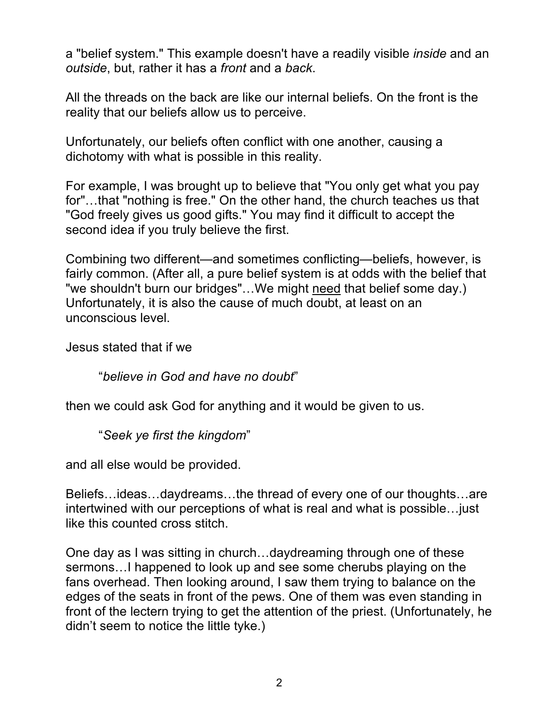a "belief system." This example doesn't have a readily visible *inside* and an *outside*, but, rather it has a *front* and a *back*.

All the threads on the back are like our internal beliefs. On the front is the reality that our beliefs allow us to perceive.

Unfortunately, our beliefs often conflict with one another, causing a dichotomy with what is possible in this reality.

For example, I was brought up to believe that "You only get what you pay for"…that "nothing is free." On the other hand, the church teaches us that "God freely gives us good gifts." You may find it difficult to accept the second idea if you truly believe the first.

Combining two different—and sometimes conflicting—beliefs, however, is fairly common. (After all, a pure belief system is at odds with the belief that "we shouldn't burn our bridges"…We might need that belief some day.) Unfortunately, it is also the cause of much doubt, at least on an unconscious level.

Jesus stated that if we

"*believe in God and have no doubt*"

then we could ask God for anything and it would be given to us.

"*Seek ye first the kingdom*"

and all else would be provided.

Beliefs…ideas…daydreams…the thread of every one of our thoughts…are intertwined with our perceptions of what is real and what is possible…just like this counted cross stitch.

One day as I was sitting in church…daydreaming through one of these sermons…I happened to look up and see some cherubs playing on the fans overhead. Then looking around, I saw them trying to balance on the edges of the seats in front of the pews. One of them was even standing in front of the lectern trying to get the attention of the priest. (Unfortunately, he didn't seem to notice the little tyke.)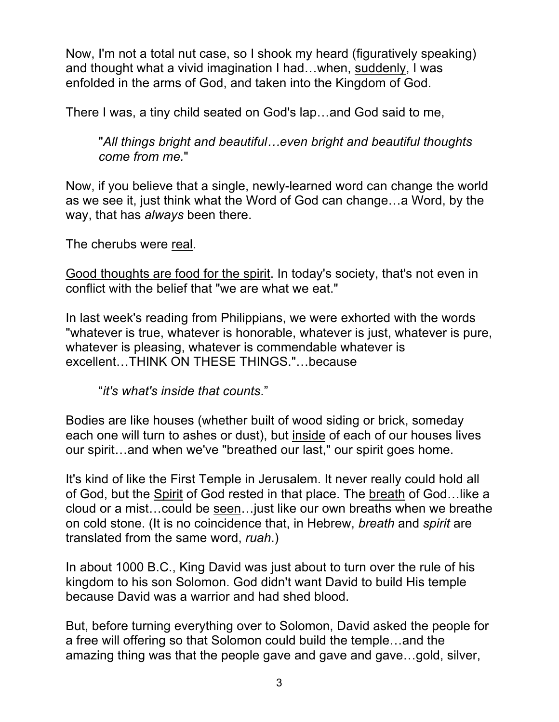Now, I'm not a total nut case, so I shook my heard (figuratively speaking) and thought what a vivid imagination I had…when, suddenly, I was enfolded in the arms of God, and taken into the Kingdom of God.

There I was, a tiny child seated on God's lap…and God said to me,

"*All things bright and beautiful…even bright and beautiful thoughts come from me.*"

Now, if you believe that a single, newly-learned word can change the world as we see it, just think what the Word of God can change…a Word, by the way, that has *always* been there.

The cherubs were real.

Good thoughts are food for the spirit. In today's society, that's not even in conflict with the belief that "we are what we eat."

In last week's reading from Philippians, we were exhorted with the words "whatever is true, whatever is honorable, whatever is just, whatever is pure, whatever is pleasing, whatever is commendable whatever is excellent…THINK ON THESE THINGS."…because

"*it's what's inside that counts*."

Bodies are like houses (whether built of wood siding or brick, someday each one will turn to ashes or dust), but inside of each of our houses lives our spirit…and when we've "breathed our last," our spirit goes home.

It's kind of like the First Temple in Jerusalem. It never really could hold all of God, but the Spirit of God rested in that place. The breath of God…like a cloud or a mist…could be seen…just like our own breaths when we breathe on cold stone. (It is no coincidence that, in Hebrew, *breath* and *spirit* are translated from the same word, *ruah*.)

In about 1000 B.C., King David was just about to turn over the rule of his kingdom to his son Solomon. God didn't want David to build His temple because David was a warrior and had shed blood.

But, before turning everything over to Solomon, David asked the people for a free will offering so that Solomon could build the temple…and the amazing thing was that the people gave and gave and gave…gold, silver,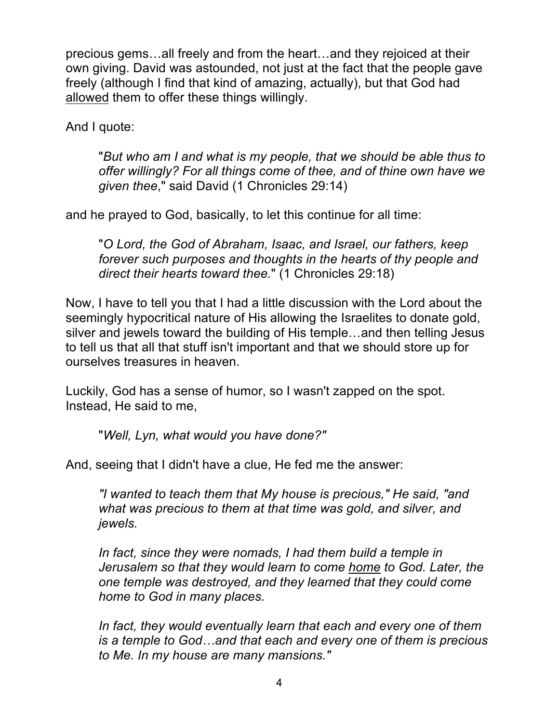precious gems…all freely and from the heart…and they rejoiced at their own giving. David was astounded, not just at the fact that the people gave freely (although I find that kind of amazing, actually), but that God had allowed them to offer these things willingly.

And I quote:

"*But who am I and what is my people, that we should be able thus to offer willingly? For all things come of thee, and of thine own have we given thee*," said David (1 Chronicles 29:14)

and he prayed to God, basically, to let this continue for all time:

"*O Lord, the God of Abraham, Isaac, and Israel, our fathers, keep forever such purposes and thoughts in the hearts of thy people and direct their hearts toward thee.*" (1 Chronicles 29:18)

Now, I have to tell you that I had a little discussion with the Lord about the seemingly hypocritical nature of His allowing the Israelites to donate gold, silver and jewels toward the building of His temple…and then telling Jesus to tell us that all that stuff isn't important and that we should store up for ourselves treasures in heaven.

Luckily, God has a sense of humor, so I wasn't zapped on the spot. Instead, He said to me,

"*Well, Lyn, what would you have done?"*

And, seeing that I didn't have a clue, He fed me the answer:

*"I wanted to teach them that My house is precious," He said, "and what was precious to them at that time was gold, and silver, and jewels.*

In fact, since they were nomads, I had them build a temple in *Jerusalem so that they would learn to come home to God. Later, the one temple was destroyed, and they learned that they could come home to God in many places.* 

*In fact, they would eventually learn that each and every one of them is a temple to God…and that each and every one of them is precious to Me. In my house are many mansions."*